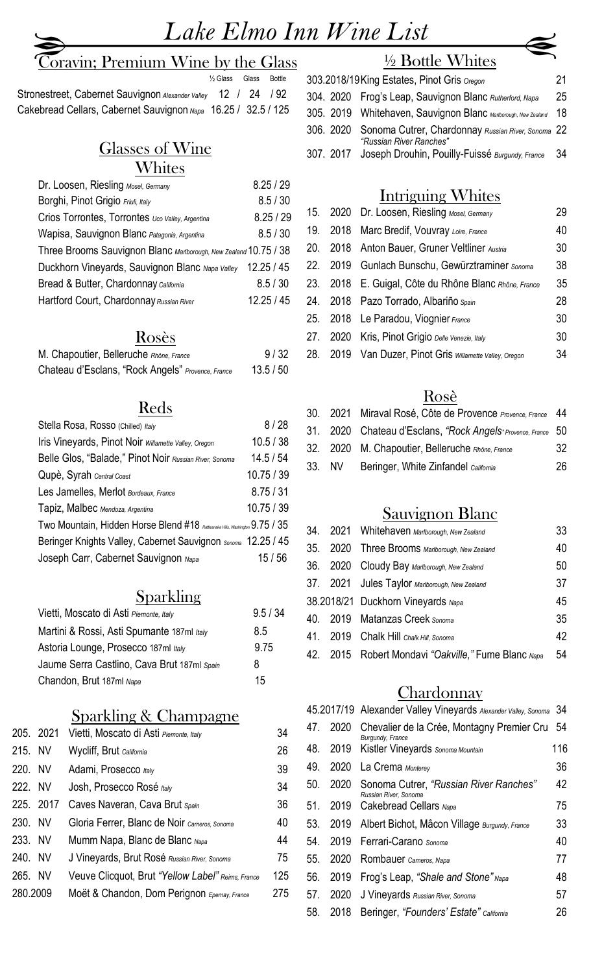## **Coravin; Premium Wine by the Glass**

½ Glass Glass Bottle

 Stronestreet, Cabernet Sauvignon *Alexander Valley* 12 / 24 / 92 Cakebread Cellars, Cabernet Sauvignon *Napa* 16.25 / 32.5 / 125

#### Glasses of Wine **Whites**

| Dr. Loosen, Riesling Mosel, Germany                              | 8.25/29   |
|------------------------------------------------------------------|-----------|
| Borghi, Pinot Grigio Friuli, Italy                               | 8.5 / 30  |
| Crios Torrontes, Torrontes Uco Valley, Argentina                 | 8.25 / 29 |
| Wapisa, Sauvignon Blanc Patagonia, Argentina                     | 8.5 / 30  |
| Three Brooms Sauvignon Blanc Marlborough, New Zealand 10.75 / 38 |           |
| Duckhorn Vineyards, Sauvignon Blanc Napa Valley                  | 12.25/45  |
| Bread & Butter, Chardonnay California                            | 8.5 / 30  |
| Hartford Court, Chardonnay Russian River                         | 12.25/45  |
|                                                                  |           |

#### Rosès

| M. Chapoutier, Belleruche Rhône, France           | 9/32    |
|---------------------------------------------------|---------|
| Chateau d'Esclans, "Rock Angels" Provence, France | 13.5/50 |

#### Reds

| Stella Rosa, Rosso (Chilled) Italy                                          | 8/28       |
|-----------------------------------------------------------------------------|------------|
| Iris Vineyards, Pinot Noir willamette Valley, Oregon                        | 10.5 / 38  |
| Belle Glos, "Balade," Pinot Noir Russian River, Sonoma                      | 14.5/54    |
| Qupè, Syrah Central Coast                                                   | 10.75 / 39 |
| Les Jamelles, Merlot Bordeaux, France                                       | 8.75 / 31  |
| Tapiz, Malbec Mendoza, Argentina                                            | 10.75 / 39 |
| Two Mountain, Hidden Horse Blend #18 Ratlesnake Hills, Washington 9.75 / 35 |            |
| Beringer Knights Valley, Cabernet Sauvignon Sonoma 12.25 / 45               |            |
| Joseph Carr, Cabernet Sauvignon Napa                                        | 15 / 56    |

#### Sparkling

| Vietti, Moscato di Asti Piemonte, Italy     | 9.5/34 |
|---------------------------------------------|--------|
| Martini & Rossi, Asti Spumante 187ml Italy  | 8.5    |
| Astoria Lounge, Prosecco 187ml Italy        | 9.75   |
| Jaume Serra Castlino, Cava Brut 187ml Spain | 8      |
| Chandon, Brut 187ml Napa                    | 15     |

#### Sparkling & Champagne

|          | 205. 2021 | Vietti, Moscato di Asti Piemonte, Italy           | 34  |
|----------|-----------|---------------------------------------------------|-----|
| 215. NV  |           | Wycliff, Brut California                          | 26  |
| 220. NV  |           | Adami, Prosecco Italy                             | 39  |
| 222. NV  |           | Josh, Prosecco Rosé Italy                         | 34  |
|          | 225. 2017 | Caves Naveran, Cava Brut Spain                    | 36  |
| 230. NV  |           | Gloria Ferrer, Blanc de Noir Carneros, Sonoma     | 40  |
| 233. NV  |           | Mumm Napa, Blanc de Blanc Napa                    | 44  |
| 240. NV  |           | J Vineyards, Brut Rosé Russian River, Sonoma      | 75  |
| 265. NV  |           | Veuve Clicquot, Brut "Yellow Label" Reims, France | 125 |
| 280.2009 |           | Moët & Chandon, Dom Perignon Epernay, France      | 275 |

# ½ Bottle Whites

| 303.2018/19 King Estates, Pinot Gris Oregon                                             | 21 |
|-----------------------------------------------------------------------------------------|----|
| 304. 2020 Frog's Leap, Sauvignon Blanc Rutherford, Napa                                 | 25 |
| 305. 2019 Whitehaven, Sauvignon Blanc Marlborough, New Zealand 18                       |    |
| 306. 2020 Sonoma Cutrer, Chardonnay Russian River, Sonoma 22<br>"Russian River Ranches" |    |
| 307. 2017 Joseph Drouhin, Pouilly-Fuissé Burgundy, France 34                            |    |

## Intriguing Whites

|     | 15. 2020 Dr. Loosen, Riesling Mosel, Germany             | 29 |
|-----|----------------------------------------------------------|----|
| 19. | 2018 Marc Bredif, Vouvray Loire, France                  | 40 |
|     | 20. 2018 Anton Bauer, Gruner Veltliner Austria           | 30 |
|     | 22. 2019 Gunlach Bunschu, Gewürztraminer Sonoma          | 38 |
|     | 23. 2018 E. Guigal, Côte du Rhône Blanc Rhône, France    | 35 |
|     | 24. 2018 Pazo Torrado, Albariño Spain                    | 28 |
|     | 25. 2018 Le Paradou, Viognier France                     | 30 |
|     | 27. 2020 Kris, Pinot Grigio Delle Venezie, Italy         | 30 |
|     | 28. 2019 Van Duzer, Pinot Gris willamette Valley, Oregon | 34 |
|     |                                                          |    |

#### Rosè

|  | 30. 2021 Miraval Rosé, Côte de Provence Provence, France 44  |    |
|--|--------------------------------------------------------------|----|
|  | 31. 2020 Chateau d'Esclans, "Rock Angels Provence, France 50 |    |
|  | 32. 2020 M. Chapoutier, Belleruche Rhône, France             | 32 |
|  | 33. NV Beringer, White Zinfandel California                  | 26 |

#### Sauvignon Blanc

| 34. | 2021 Whitehaven Marlborough, New Zealand            | 33 |
|-----|-----------------------------------------------------|----|
| 35. | 2020 Three Brooms Marlborough, New Zealand          | 40 |
|     | 36. 2020 Cloudy Bay Marlborough, New Zealand        | 50 |
|     | 37. 2021 Jules Taylor Marlborough, New Zealand      | 37 |
|     | 38.2018/21 Duckhorn Vineyards Napa                  | 45 |
|     | 40. 2019 Matanzas Creek Sonoma                      | 35 |
|     | 41. 2019 Chalk Hill Chalk Hill, Sonoma              | 42 |
|     | 42. 2015 Robert Mondavi "Oakville," Fume Blanc Napa | 54 |
|     |                                                     |    |

#### **Chardonnay**

|     |      | 45.2017/19 Alexander Valley Vineyards Alexander Valley, Sonoma  | 34  |
|-----|------|-----------------------------------------------------------------|-----|
| 47  | 2020 | Chevalier de la Crée, Montagny Premier Cru<br>Burgundy, France  | -54 |
| 48. | 2019 | Kistler Vineyards Sonoma Mountain                               | 116 |
| 49. | 2020 | La Crema Monterey                                               | 36  |
| 50. | 2020 | Sonoma Cutrer, "Russian River Ranches"<br>Russian River, Sonoma | 42  |
| 51. | 2019 | Cakebread Cellars Napa                                          | 75  |
| 53. | 2019 | Albert Bichot, Mâcon Village Burgundy, France                   | 33  |
| 54  | 2019 | Ferrari-Carano Sonoma                                           | 40  |
| 55. | 2020 | Rombauer Carneros, Napa                                         | 77  |
| 56. | 2019 | Frog's Leap, "Shale and Stone" Napa                             | 48  |
| 57. | 2020 | J Vineyards Russian River, Sonoma                               | 57  |
| 58. | 2018 | Beringer, "Founders' Estate" California                         | 26  |